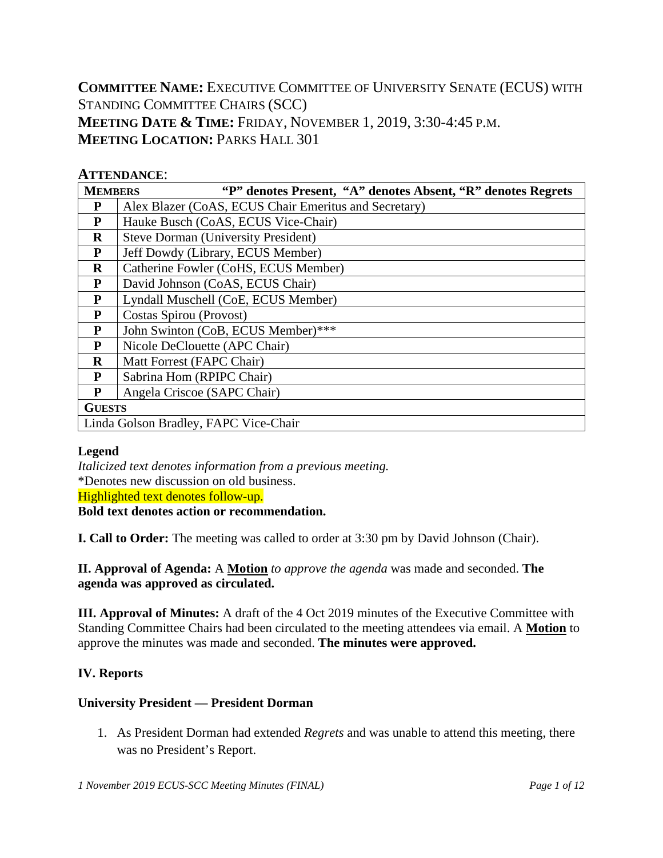**COMMITTEE NAME:** EXECUTIVE COMMITTEE OF UNIVERSITY SENATE (ECUS) WITH STANDING COMMITTEE CHAIRS (SCC) **MEETING DATE & TIME:** FRIDAY, NOVEMBER 1, 2019, 3:30-4:45 P.M. **MEETING LOCATION:** PARKS HALL 301

## **ATTENDANCE**:

| <b>MEMBERS</b><br>"P" denotes Present, "A" denotes Absent, "R" denotes Regrets |                                                       |  |  |  |  |  |  |
|--------------------------------------------------------------------------------|-------------------------------------------------------|--|--|--|--|--|--|
| P                                                                              | Alex Blazer (CoAS, ECUS Chair Emeritus and Secretary) |  |  |  |  |  |  |
| $\mathbf{P}$                                                                   | Hauke Busch (CoAS, ECUS Vice-Chair)                   |  |  |  |  |  |  |
| $\bf R$                                                                        | <b>Steve Dorman (University President)</b>            |  |  |  |  |  |  |
| P                                                                              | Jeff Dowdy (Library, ECUS Member)                     |  |  |  |  |  |  |
| $\mathbf R$                                                                    | Catherine Fowler (CoHS, ECUS Member)                  |  |  |  |  |  |  |
| P                                                                              | David Johnson (CoAS, ECUS Chair)                      |  |  |  |  |  |  |
| ${\bf P}$                                                                      | Lyndall Muschell (CoE, ECUS Member)                   |  |  |  |  |  |  |
| P                                                                              | Costas Spirou (Provost)                               |  |  |  |  |  |  |
| P                                                                              | John Swinton (CoB, ECUS Member)***                    |  |  |  |  |  |  |
| P                                                                              | Nicole DeClouette (APC Chair)                         |  |  |  |  |  |  |
| $\bf{R}$                                                                       | Matt Forrest (FAPC Chair)                             |  |  |  |  |  |  |
| P                                                                              | Sabrina Hom (RPIPC Chair)                             |  |  |  |  |  |  |
| P                                                                              | Angela Criscoe (SAPC Chair)                           |  |  |  |  |  |  |
| <b>GUESTS</b>                                                                  |                                                       |  |  |  |  |  |  |
|                                                                                | Linda Golson Bradley, FAPC Vice-Chair                 |  |  |  |  |  |  |

#### **Legend**

*Italicized text denotes information from a previous meeting.* \*Denotes new discussion on old business. Highlighted text denotes follow-up. **Bold text denotes action or recommendation.**

**I. Call to Order:** The meeting was called to order at 3:30 pm by David Johnson (Chair).

**II. Approval of Agenda:** A **Motion** *to approve the agenda* was made and seconded. **The agenda was approved as circulated.**

**III. Approval of Minutes:** A draft of the 4 Oct 2019 minutes of the Executive Committee with Standing Committee Chairs had been circulated to the meeting attendees via email. A **Motion** to approve the minutes was made and seconded. **The minutes were approved.**

## **IV. Reports**

### **University President — President Dorman**

1. As President Dorman had extended *Regrets* and was unable to attend this meeting, there was no President's Report.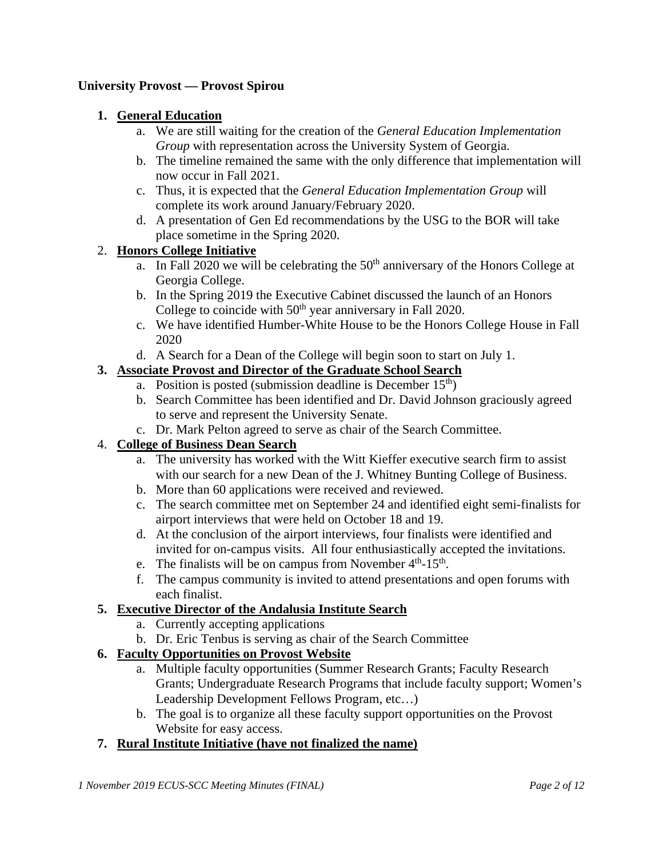### **University Provost — Provost Spirou**

### **1. General Education**

- a. We are still waiting for the creation of the *General Education Implementation Group* with representation across the University System of Georgia.
- b. The timeline remained the same with the only difference that implementation will now occur in Fall 2021.
- c. Thus, it is expected that the *General Education Implementation Group* will complete its work around January/February 2020.
- d. A presentation of Gen Ed recommendations by the USG to the BOR will take place sometime in the Spring 2020.

### 2. **Honors College Initiative**

- a. In Fall 2020 we will be celebrating the  $50<sup>th</sup>$  anniversary of the Honors College at Georgia College.
- b. In the Spring 2019 the Executive Cabinet discussed the launch of an Honors College to coincide with  $50<sup>th</sup>$  year anniversary in Fall 2020.
- c. We have identified Humber-White House to be the Honors College House in Fall 2020
- d. A Search for a Dean of the College will begin soon to start on July 1.

## **3. Associate Provost and Director of the Graduate School Search**

- a. Position is posted (submission deadline is December  $15<sup>th</sup>$ )
- b. Search Committee has been identified and Dr. David Johnson graciously agreed to serve and represent the University Senate.
- c. Dr. Mark Pelton agreed to serve as chair of the Search Committee.

#### 4. **College of Business Dean Search**

- a. The university has worked with the Witt Kieffer executive search firm to assist with our search for a new Dean of the J. Whitney Bunting College of Business.
- b. More than 60 applications were received and reviewed.
- c. The search committee met on September 24 and identified eight semi-finalists for airport interviews that were held on October 18 and 19.
- d. At the conclusion of the airport interviews, four finalists were identified and invited for on-campus visits. All four enthusiastically accepted the invitations.
- e. The finalists will be on campus from November  $4<sup>th</sup>$ -15<sup>th</sup>.
- f. The campus community is invited to attend presentations and open forums with each finalist.

### **5. Executive Director of the Andalusia Institute Search**

- a. Currently accepting applications
- b. Dr. Eric Tenbus is serving as chair of the Search Committee

### **6. Faculty Opportunities on Provost Website**

- a. Multiple faculty opportunities (Summer Research Grants; Faculty Research Grants; Undergraduate Research Programs that include faculty support; Women's Leadership Development Fellows Program, etc…)
- b. The goal is to organize all these faculty support opportunities on the Provost Website for easy access.

### **7. Rural Institute Initiative (have not finalized the name)**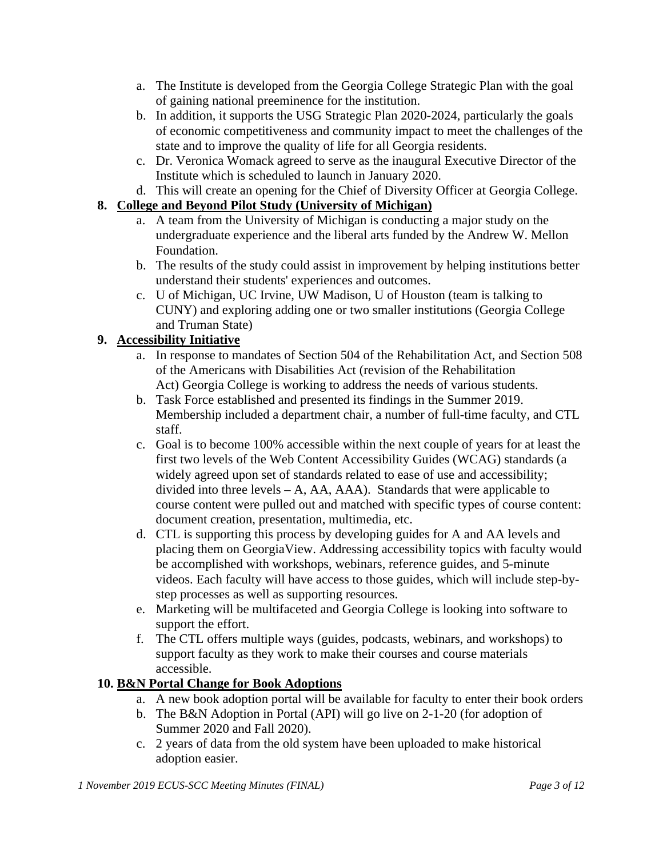- a. The Institute is developed from the Georgia College Strategic Plan with the goal of gaining national preeminence for the institution.
- b. In addition, it supports the USG Strategic Plan 2020-2024, particularly the goals of economic competitiveness and community impact to meet the challenges of the state and to improve the quality of life for all Georgia residents.
- c. Dr. Veronica Womack agreed to serve as the inaugural Executive Director of the Institute which is scheduled to launch in January 2020.
- d. This will create an opening for the Chief of Diversity Officer at Georgia College.

## **8. College and Beyond Pilot Study (University of Michigan)**

- a. A team from the University of Michigan is conducting a major study on the undergraduate experience and the liberal arts funded by the Andrew W. Mellon Foundation.
- b. The results of the study could assist in improvement by helping institutions better understand their students' experiences and outcomes.
- c. U of Michigan, UC Irvine, UW Madison, U of Houston (team is talking to CUNY) and exploring adding one or two smaller institutions (Georgia College and Truman State)

## **9. Accessibility Initiative**

- a. In response to mandates of Section 504 of the Rehabilitation Act, and Section 508 of the Americans with Disabilities Act (revision of the Rehabilitation Act) Georgia College is working to address the needs of various students.
- b. Task Force established and presented its findings in the Summer 2019. Membership included a department chair, a number of full-time faculty, and CTL staff.
- c. Goal is to become 100% accessible within the next couple of years for at least the first two levels of the Web Content Accessibility Guides (WCAG) standards (a widely agreed upon set of standards related to ease of use and accessibility; divided into three levels – A, AA, AAA). Standards that were applicable to course content were pulled out and matched with specific types of course content: document creation, presentation, multimedia, etc.
- d. CTL is supporting this process by developing guides for A and AA levels and placing them on GeorgiaView. Addressing accessibility topics with faculty would be accomplished with workshops, webinars, reference guides, and 5-minute videos. Each faculty will have access to those guides, which will include step-bystep processes as well as supporting resources.
- e. Marketing will be multifaceted and Georgia College is looking into software to support the effort.
- f. The CTL offers multiple ways (guides, podcasts, webinars, and workshops) to support faculty as they work to make their courses and course materials accessible.

# **10. B&N Portal Change for Book Adoptions**

- a. A new book adoption portal will be available for faculty to enter their book orders
- b. The B&N Adoption in Portal (API) will go live on 2-1-20 (for adoption of Summer 2020 and Fall 2020).
- c. 2 years of data from the old system have been uploaded to make historical adoption easier.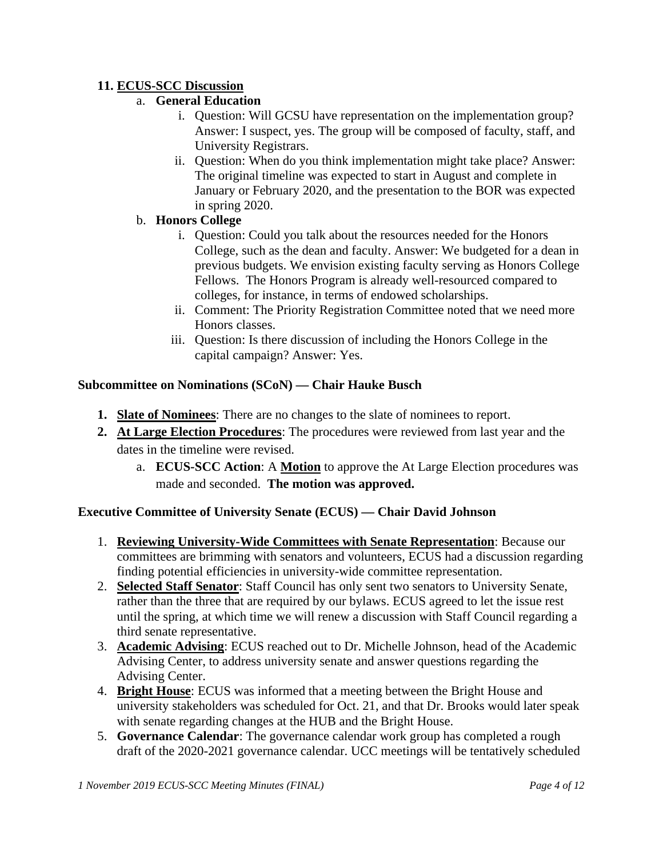## **11. ECUS-SCC Discussion**

## a. **General Education**

- i. Question: Will GCSU have representation on the implementation group? Answer: I suspect, yes. The group will be composed of faculty, staff, and University Registrars.
- ii. Question: When do you think implementation might take place? Answer: The original timeline was expected to start in August and complete in January or February 2020, and the presentation to the BOR was expected in spring 2020.

## b. **Honors College**

- i. Question: Could you talk about the resources needed for the Honors College, such as the dean and faculty. Answer: We budgeted for a dean in previous budgets. We envision existing faculty serving as Honors College Fellows. The Honors Program is already well-resourced compared to colleges, for instance, in terms of endowed scholarships.
- ii. Comment: The Priority Registration Committee noted that we need more Honors classes.
- iii. Question: Is there discussion of including the Honors College in the capital campaign? Answer: Yes.

### **Subcommittee on Nominations (SCoN) — Chair Hauke Busch**

- **1. Slate of Nominees**: There are no changes to the slate of nominees to report.
- **2. At Large Election Procedures**: The procedures were reviewed from last year and the dates in the timeline were revised.
	- a. **ECUS-SCC Action**: A **Motion** to approve the At Large Election procedures was made and seconded. **The motion was approved.**

### **Executive Committee of University Senate (ECUS) — Chair David Johnson**

- 1. **Reviewing University-Wide Committees with Senate Representation**: Because our committees are brimming with senators and volunteers, ECUS had a discussion regarding finding potential efficiencies in university-wide committee representation.
- 2. **Selected Staff Senator**: Staff Council has only sent two senators to University Senate, rather than the three that are required by our bylaws. ECUS agreed to let the issue rest until the spring, at which time we will renew a discussion with Staff Council regarding a third senate representative.
- 3. **Academic Advising**: ECUS reached out to Dr. Michelle Johnson, head of the Academic Advising Center, to address university senate and answer questions regarding the Advising Center.
- 4. **Bright House**: ECUS was informed that a meeting between the Bright House and university stakeholders was scheduled for Oct. 21, and that Dr. Brooks would later speak with senate regarding changes at the HUB and the Bright House.
- 5. **Governance Calendar**: The governance calendar work group has completed a rough draft of the 2020-2021 governance calendar. UCC meetings will be tentatively scheduled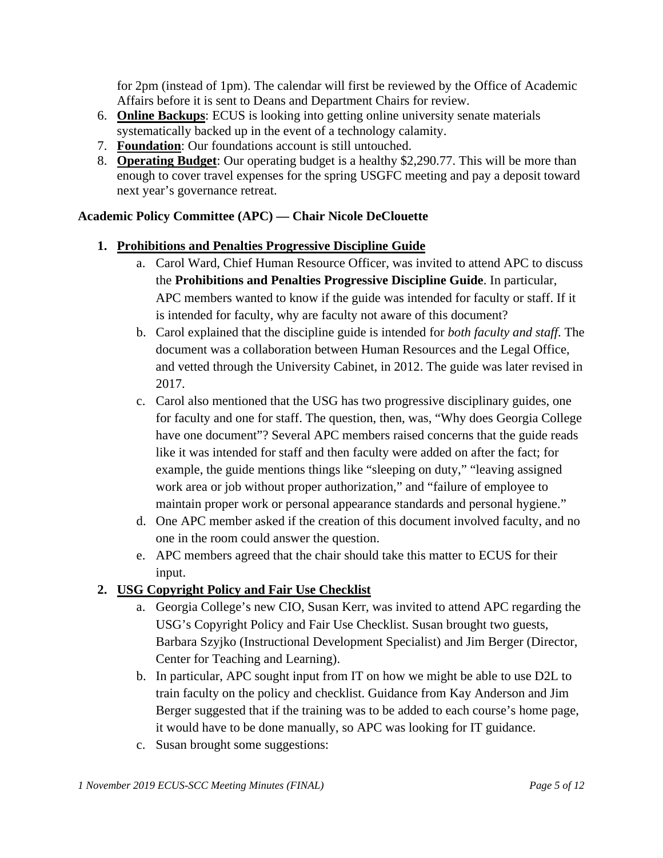for 2pm (instead of 1pm). The calendar will first be reviewed by the Office of Academic Affairs before it is sent to Deans and Department Chairs for review.

- 6. **Online Backups**: ECUS is looking into getting online university senate materials systematically backed up in the event of a technology calamity.
- 7. **Foundation**: Our foundations account is still untouched.
- 8. **Operating Budget**: Our operating budget is a healthy \$2,290.77. This will be more than enough to cover travel expenses for the spring USGFC meeting and pay a deposit toward next year's governance retreat.

## **Academic Policy Committee (APC) — Chair Nicole DeClouette**

### **1. Prohibitions and Penalties Progressive Discipline Guide**

- a. Carol Ward, Chief Human Resource Officer, was invited to attend APC to discuss the **Prohibitions and Penalties Progressive Discipline Guide**. In particular, APC members wanted to know if the guide was intended for faculty or staff. If it is intended for faculty, why are faculty not aware of this document?
- b. Carol explained that the discipline guide is intended for *both faculty and staff*. The document was a collaboration between Human Resources and the Legal Office, and vetted through the University Cabinet, in 2012. The guide was later revised in 2017.
- c. Carol also mentioned that the USG has two progressive disciplinary guides, one for faculty and one for staff. The question, then, was, "Why does Georgia College have one document"? Several APC members raised concerns that the guide reads like it was intended for staff and then faculty were added on after the fact; for example, the guide mentions things like "sleeping on duty," "leaving assigned work area or job without proper authorization," and "failure of employee to maintain proper work or personal appearance standards and personal hygiene."
- d. One APC member asked if the creation of this document involved faculty, and no one in the room could answer the question.
- e. APC members agreed that the chair should take this matter to ECUS for their input.

## **2. USG Copyright Policy and Fair Use Checklist**

- a. Georgia College's new CIO, Susan Kerr, was invited to attend APC regarding the USG's Copyright Policy and Fair Use Checklist. Susan brought two guests, Barbara Szyjko (Instructional Development Specialist) and Jim Berger (Director, Center for Teaching and Learning).
- b. In particular, APC sought input from IT on how we might be able to use D2L to train faculty on the policy and checklist. Guidance from Kay Anderson and Jim Berger suggested that if the training was to be added to each course's home page, it would have to be done manually, so APC was looking for IT guidance.
- c. Susan brought some suggestions: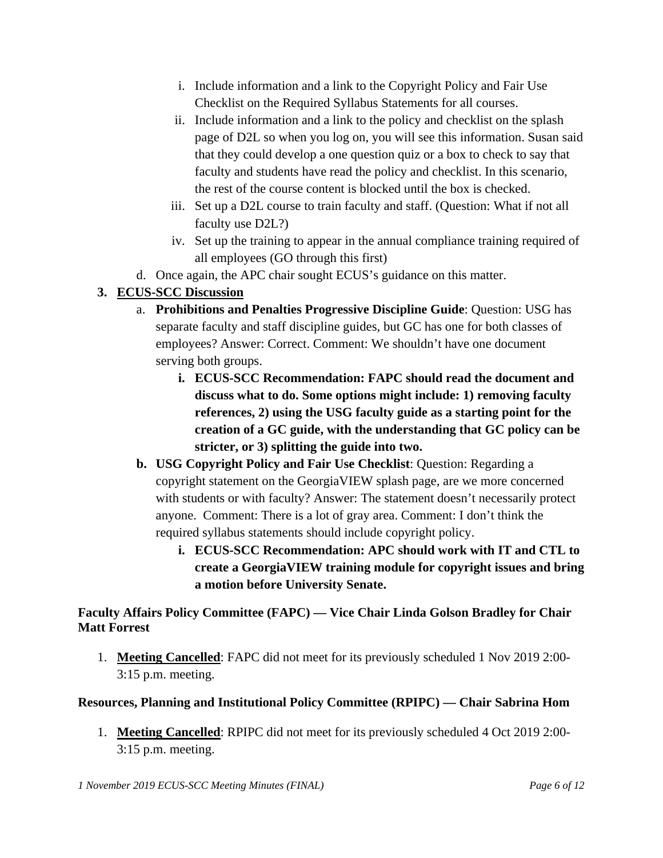- i. Include information and a link to the Copyright Policy and Fair Use Checklist on the Required Syllabus Statements for all courses.
- ii. Include information and a link to the policy and checklist on the splash page of D2L so when you log on, you will see this information. Susan said that they could develop a one question quiz or a box to check to say that faculty and students have read the policy and checklist. In this scenario, the rest of the course content is blocked until the box is checked.
- iii. Set up a D2L course to train faculty and staff. (Question: What if not all faculty use D2L?)
- iv. Set up the training to appear in the annual compliance training required of all employees (GO through this first)
- d. Once again, the APC chair sought ECUS's guidance on this matter.

# **3. ECUS-SCC Discussion**

- a. **Prohibitions and Penalties Progressive Discipline Guide**: Question: USG has separate faculty and staff discipline guides, but GC has one for both classes of employees? Answer: Correct. Comment: We shouldn't have one document serving both groups.
	- **i. ECUS-SCC Recommendation: FAPC should read the document and discuss what to do. Some options might include: 1) removing faculty references, 2) using the USG faculty guide as a starting point for the creation of a GC guide, with the understanding that GC policy can be stricter, or 3) splitting the guide into two.**
- **b. USG Copyright Policy and Fair Use Checklist**: Question: Regarding a copyright statement on the GeorgiaVIEW splash page, are we more concerned with students or with faculty? Answer: The statement doesn't necessarily protect anyone. Comment: There is a lot of gray area. Comment: I don't think the required syllabus statements should include copyright policy.
	- **i. ECUS-SCC Recommendation: APC should work with IT and CTL to create a GeorgiaVIEW training module for copyright issues and bring a motion before University Senate.**

## **Faculty Affairs Policy Committee (FAPC) — Vice Chair Linda Golson Bradley for Chair Matt Forrest**

1. **Meeting Cancelled**: FAPC did not meet for its previously scheduled 1 Nov 2019 2:00- 3:15 p.m. meeting.

## **Resources, Planning and Institutional Policy Committee (RPIPC) — Chair Sabrina Hom**

1. **Meeting Cancelled**: RPIPC did not meet for its previously scheduled 4 Oct 2019 2:00- 3:15 p.m. meeting.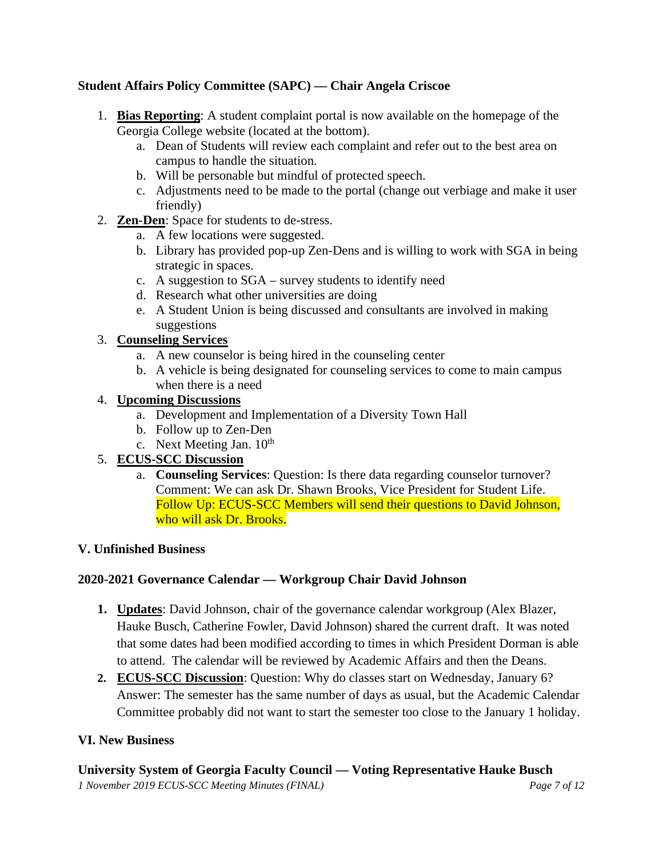## **Student Affairs Policy Committee (SAPC) — Chair Angela Criscoe**

- 1. **Bias Reporting**: A student complaint portal is now available on the homepage of the Georgia College website (located at the bottom).
	- a. Dean of Students will review each complaint and refer out to the best area on campus to handle the situation.
	- b. Will be personable but mindful of protected speech.
	- c. Adjustments need to be made to the portal (change out verbiage and make it user friendly)
- 2. **Zen-Den**: Space for students to de-stress.
	- a. A few locations were suggested.
	- b. Library has provided pop-up Zen-Dens and is willing to work with SGA in being strategic in spaces.
	- c. A suggestion to SGA survey students to identify need
	- d. Research what other universities are doing
	- e. A Student Union is being discussed and consultants are involved in making suggestions

## 3. **Counseling Services**

- a. A new counselor is being hired in the counseling center
- b. A vehicle is being designated for counseling services to come to main campus when there is a need

## 4. **Upcoming Discussions**

- a. Development and Implementation of a Diversity Town Hall
- b. Follow up to Zen-Den
- c. Next Meeting Jan.  $10^{th}$

## 5. **ECUS-SCC Discussion**

a. **Counseling Services**: Question: Is there data regarding counselor turnover? Comment: We can ask Dr. Shawn Brooks, Vice President for Student Life. Follow Up: ECUS-SCC Members will send their questions to David Johnson, who will ask Dr. Brooks.

### **V. Unfinished Business**

## **2020-2021 Governance Calendar — Workgroup Chair David Johnson**

- **1. Updates**: David Johnson, chair of the governance calendar workgroup (Alex Blazer, Hauke Busch, Catherine Fowler, David Johnson) shared the current draft. It was noted that some dates had been modified according to times in which President Dorman is able to attend. The calendar will be reviewed by Academic Affairs and then the Deans.
- **2. ECUS-SCC Discussion**: Question: Why do classes start on Wednesday, January 6? Answer: The semester has the same number of days as usual, but the Academic Calendar Committee probably did not want to start the semester too close to the January 1 holiday.

### **VI. New Business**

**University System of Georgia Faculty Council — Voting Representative Hauke Busch**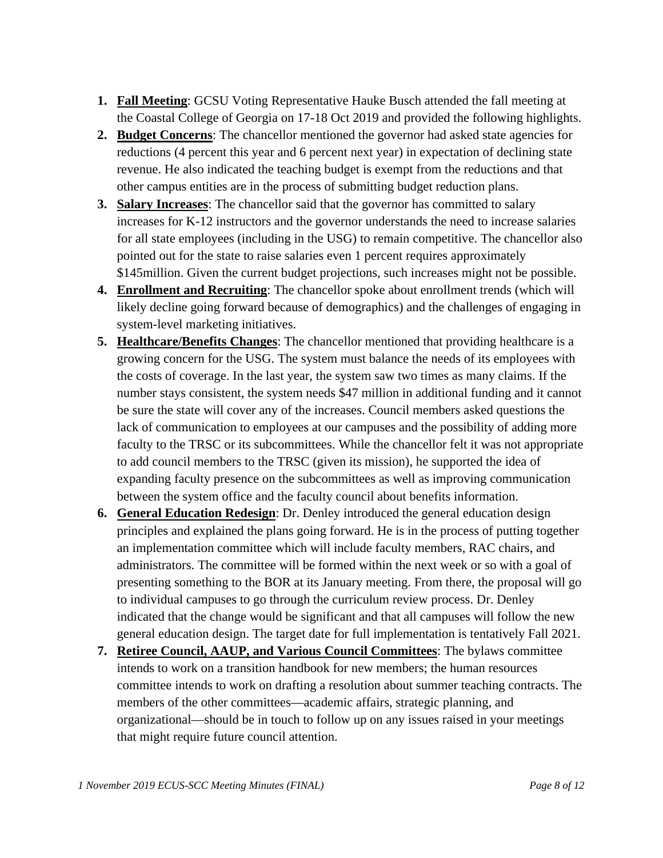- **1. Fall Meeting**: GCSU Voting Representative Hauke Busch attended the fall meeting at the Coastal College of Georgia on 17-18 Oct 2019 and provided the following highlights.
- **2. Budget Concerns**: The chancellor mentioned the governor had asked state agencies for reductions (4 percent this year and 6 percent next year) in expectation of declining state revenue. He also indicated the teaching budget is exempt from the reductions and that other campus entities are in the process of submitting budget reduction plans.
- **3. Salary Increases**: The chancellor said that the governor has committed to salary increases for K-12 instructors and the governor understands the need to increase salaries for all state employees (including in the USG) to remain competitive. The chancellor also pointed out for the state to raise salaries even 1 percent requires approximately \$145million. Given the current budget projections, such increases might not be possible.
- **4. Enrollment and Recruiting**: The chancellor spoke about enrollment trends (which will likely decline going forward because of demographics) and the challenges of engaging in system-level marketing initiatives.
- **5. Healthcare/Benefits Changes**: The chancellor mentioned that providing healthcare is a growing concern for the USG. The system must balance the needs of its employees with the costs of coverage. In the last year, the system saw two times as many claims. If the number stays consistent, the system needs \$47 million in additional funding and it cannot be sure the state will cover any of the increases. Council members asked questions the lack of communication to employees at our campuses and the possibility of adding more faculty to the TRSC or its subcommittees. While the chancellor felt it was not appropriate to add council members to the TRSC (given its mission), he supported the idea of expanding faculty presence on the subcommittees as well as improving communication between the system office and the faculty council about benefits information.
- **6. General Education Redesign**: Dr. Denley introduced the general education design principles and explained the plans going forward. He is in the process of putting together an implementation committee which will include faculty members, RAC chairs, and administrators. The committee will be formed within the next week or so with a goal of presenting something to the BOR at its January meeting. From there, the proposal will go to individual campuses to go through the curriculum review process. Dr. Denley indicated that the change would be significant and that all campuses will follow the new general education design. The target date for full implementation is tentatively Fall 2021.
- **7. Retiree Council, AAUP, and Various Council Committees**: The bylaws committee intends to work on a transition handbook for new members; the human resources committee intends to work on drafting a resolution about summer teaching contracts. The members of the other committees—academic affairs, strategic planning, and organizational—should be in touch to follow up on any issues raised in your meetings that might require future council attention.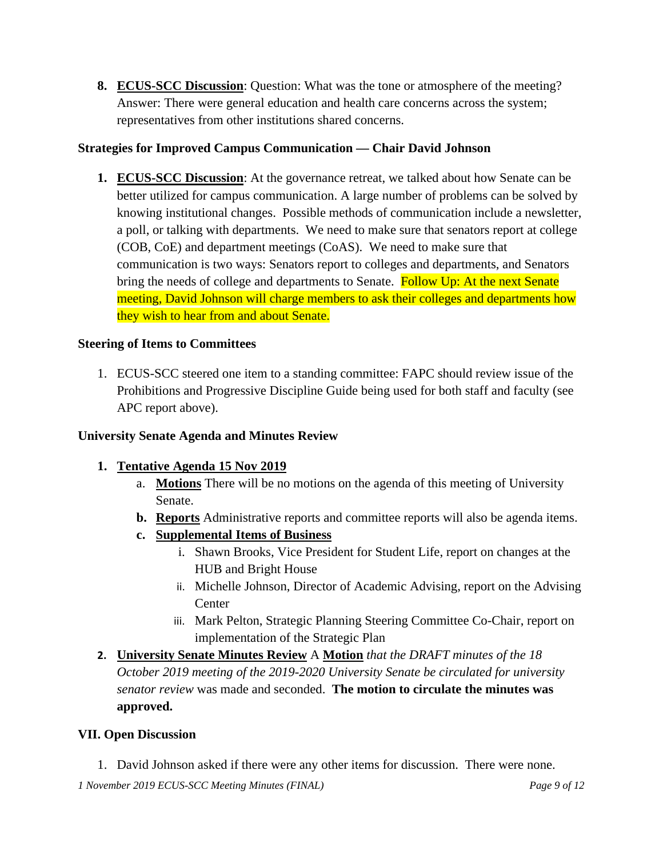**8. ECUS-SCC Discussion**: Question: What was the tone or atmosphere of the meeting? Answer: There were general education and health care concerns across the system; representatives from other institutions shared concerns.

## **Strategies for Improved Campus Communication — Chair David Johnson**

**1. ECUS-SCC Discussion**: At the governance retreat, we talked about how Senate can be better utilized for campus communication. A large number of problems can be solved by knowing institutional changes. Possible methods of communication include a newsletter, a poll, or talking with departments. We need to make sure that senators report at college (COB, CoE) and department meetings (CoAS). We need to make sure that communication is two ways: Senators report to colleges and departments, and Senators bring the needs of college and departments to Senate. Follow Up: At the next Senate meeting, David Johnson will charge members to ask their colleges and departments how they wish to hear from and about Senate.

### **Steering of Items to Committees**

1. ECUS-SCC steered one item to a standing committee: FAPC should review issue of the Prohibitions and Progressive Discipline Guide being used for both staff and faculty (see APC report above).

### **University Senate Agenda and Minutes Review**

## **1. Tentative Agenda 15 Nov 2019**

- a. **Motions** There will be no motions on the agenda of this meeting of University Senate.
- **b. Reports** Administrative reports and committee reports will also be agenda items.
- **c. Supplemental Items of Business**
	- i. Shawn Brooks, Vice President for Student Life, report on changes at the HUB and Bright House
	- ii. Michelle Johnson, Director of Academic Advising, report on the Advising **Center**
	- iii. Mark Pelton, Strategic Planning Steering Committee Co-Chair, report on implementation of the Strategic Plan
- **2. University Senate Minutes Review** A **Motion** *that the DRAFT minutes of the 18 October 2019 meeting of the 2019-2020 University Senate be circulated for university senator review* was made and seconded. **The motion to circulate the minutes was approved.**

### **VII. Open Discussion**

1. David Johnson asked if there were any other items for discussion. There were none.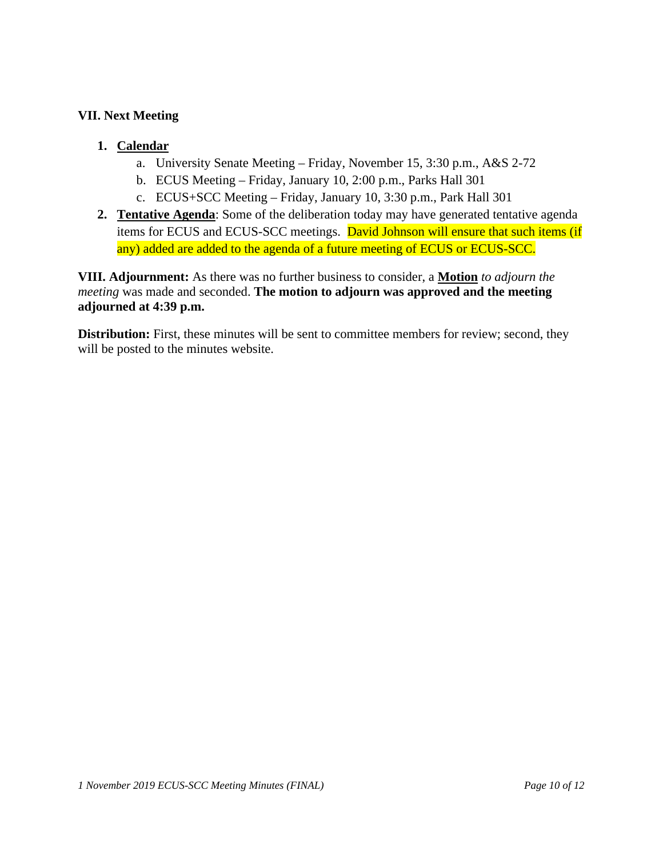#### **VII. Next Meeting**

### **1. Calendar**

- a. University Senate Meeting Friday, November 15, 3:30 p.m., A&S 2-72
- b. ECUS Meeting Friday, January 10, 2:00 p.m., Parks Hall 301
- c. ECUS+SCC Meeting Friday, January 10, 3:30 p.m., Park Hall 301
- **2. Tentative Agenda**: Some of the deliberation today may have generated tentative agenda items for ECUS and ECUS-SCC meetings. David Johnson will ensure that such items (if any) added are added to the agenda of a future meeting of ECUS or ECUS-SCC.

**VIII. Adjournment:** As there was no further business to consider, a **Motion** *to adjourn the meeting* was made and seconded. **The motion to adjourn was approved and the meeting adjourned at 4:39 p.m.**

**Distribution:** First, these minutes will be sent to committee members for review; second, they will be posted to the minutes website.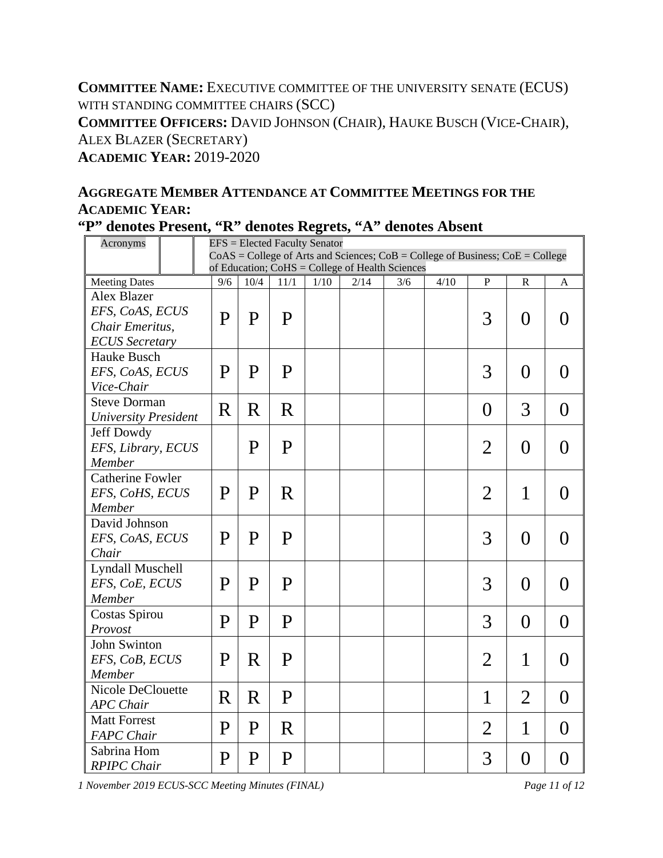**COMMITTEE NAME:** EXECUTIVE COMMITTEE OF THE UNIVERSITY SENATE (ECUS) WITH STANDING COMMITTEE CHAIRS (SCC) **COMMITTEE OFFICERS:** DAVID JOHNSON (CHAIR), HAUKE BUSCH (VICE-CHAIR), ALEX BLAZER (SECRETARY) **ACADEMIC YEAR:** 2019-2020

# **AGGREGATE MEMBER ATTENDANCE AT COMMITTEE MEETINGS FOR THE ACADEMIC YEAR:**

|  |  |  |  |  |  |  | "P" denotes Present, "R" denotes Regrets, "A" denotes Absent |  |
|--|--|--|--|--|--|--|--------------------------------------------------------------|--|
|--|--|--|--|--|--|--|--------------------------------------------------------------|--|

| Acronyms                    |                                                                                                                                              | <b>EFS</b> = Elected Faculty Senator |                                                                                     |              |  |  |  |  |                |                |                  |  |
|-----------------------------|----------------------------------------------------------------------------------------------------------------------------------------------|--------------------------------------|-------------------------------------------------------------------------------------|--------------|--|--|--|--|----------------|----------------|------------------|--|
|                             |                                                                                                                                              |                                      | $CoAS = College$ of Arts and Sciences; $CoB = College$ of Business; $CoE = College$ |              |  |  |  |  |                |                |                  |  |
|                             | of Education; CoHS = College of Health Sciences<br>4/10<br><b>Meeting Dates</b><br>9/6<br>10/4<br>11/1<br>1/10<br>2/14<br>3/6<br>P<br>R<br>A |                                      |                                                                                     |              |  |  |  |  |                |                |                  |  |
| Alex Blazer                 |                                                                                                                                              |                                      |                                                                                     |              |  |  |  |  |                |                |                  |  |
| EFS, CoAS, ECUS             |                                                                                                                                              |                                      |                                                                                     |              |  |  |  |  |                |                |                  |  |
| Chair Emeritus,             |                                                                                                                                              | P                                    | P                                                                                   | $\mathbf{P}$ |  |  |  |  | 3              | $\theta$       | $\left( \right)$ |  |
| <b>ECUS</b> Secretary       |                                                                                                                                              |                                      |                                                                                     |              |  |  |  |  |                |                |                  |  |
| Hauke Busch                 |                                                                                                                                              |                                      |                                                                                     |              |  |  |  |  |                |                |                  |  |
| EFS, CoAS, ECUS             |                                                                                                                                              | P                                    | P                                                                                   | $\mathbf{P}$ |  |  |  |  | 3              | $\theta$       | $\theta$         |  |
| Vice-Chair                  |                                                                                                                                              |                                      |                                                                                     |              |  |  |  |  |                |                |                  |  |
| <b>Steve Dorman</b>         |                                                                                                                                              |                                      |                                                                                     |              |  |  |  |  |                |                |                  |  |
| <b>University President</b> |                                                                                                                                              | R                                    | R                                                                                   | $\mathbf R$  |  |  |  |  | $\overline{0}$ | 3              | $\overline{0}$   |  |
| Jeff Dowdy                  |                                                                                                                                              |                                      |                                                                                     |              |  |  |  |  |                |                |                  |  |
| EFS, Library, ECUS          |                                                                                                                                              |                                      | P                                                                                   | $\mathbf P$  |  |  |  |  | $\overline{2}$ | $\overline{0}$ | $\overline{0}$   |  |
| Member                      |                                                                                                                                              |                                      |                                                                                     |              |  |  |  |  |                |                |                  |  |
| <b>Catherine Fowler</b>     |                                                                                                                                              |                                      |                                                                                     |              |  |  |  |  |                |                |                  |  |
| EFS, CoHS, ECUS             |                                                                                                                                              | P                                    | $\mathbf P$                                                                         | R            |  |  |  |  | $\overline{2}$ | 1              | $\theta$         |  |
| Member                      |                                                                                                                                              |                                      |                                                                                     |              |  |  |  |  |                |                |                  |  |
| David Johnson               |                                                                                                                                              |                                      |                                                                                     |              |  |  |  |  |                |                |                  |  |
| EFS, CoAS, ECUS             |                                                                                                                                              | P                                    | $\mathbf{P}$                                                                        | $\mathbf{P}$ |  |  |  |  | 3              | $\theta$       | $\theta$         |  |
| Chair                       |                                                                                                                                              |                                      |                                                                                     |              |  |  |  |  |                |                |                  |  |
| <b>Lyndall Muschell</b>     |                                                                                                                                              |                                      |                                                                                     |              |  |  |  |  |                |                |                  |  |
| EFS, CoE, ECUS              |                                                                                                                                              | P                                    | P                                                                                   | $\mathbf{P}$ |  |  |  |  | 3              | $\theta$       | $\theta$         |  |
| Member                      |                                                                                                                                              |                                      |                                                                                     |              |  |  |  |  |                |                |                  |  |
| Costas Spirou               |                                                                                                                                              | P                                    | P                                                                                   | $\mathbf{P}$ |  |  |  |  | 3              | $\theta$       | $\overline{0}$   |  |
| Provost                     |                                                                                                                                              |                                      |                                                                                     |              |  |  |  |  |                |                |                  |  |
| John Swinton                |                                                                                                                                              |                                      |                                                                                     |              |  |  |  |  |                |                |                  |  |
| EFS, CoB, ECUS              |                                                                                                                                              | P                                    | R                                                                                   | $\mathbf P$  |  |  |  |  | $\overline{2}$ | 1              | $\theta$         |  |
| Member                      |                                                                                                                                              |                                      |                                                                                     |              |  |  |  |  |                |                |                  |  |
| <b>Nicole DeClouette</b>    |                                                                                                                                              | R                                    | $\rm R$                                                                             | $\mathbf{P}$ |  |  |  |  | 1              | $\overline{2}$ | $\theta$         |  |
| <b>APC</b> Chair            |                                                                                                                                              |                                      |                                                                                     |              |  |  |  |  |                |                |                  |  |
| <b>Matt Forrest</b>         |                                                                                                                                              | P                                    | P                                                                                   | R            |  |  |  |  | $\overline{2}$ | 1              | $\theta$         |  |
| <b>FAPC</b> Chair           |                                                                                                                                              |                                      |                                                                                     |              |  |  |  |  |                |                |                  |  |
| Sabrina Hom                 |                                                                                                                                              | P                                    | P                                                                                   | $\mathbf P$  |  |  |  |  | 3              | $\overline{0}$ | $\overline{0}$   |  |
| <b>RPIPC</b> Chair          |                                                                                                                                              |                                      |                                                                                     |              |  |  |  |  |                |                |                  |  |

*1 November 2019 ECUS-SCC Meeting Minutes (FINAL) Page 11 of 12*